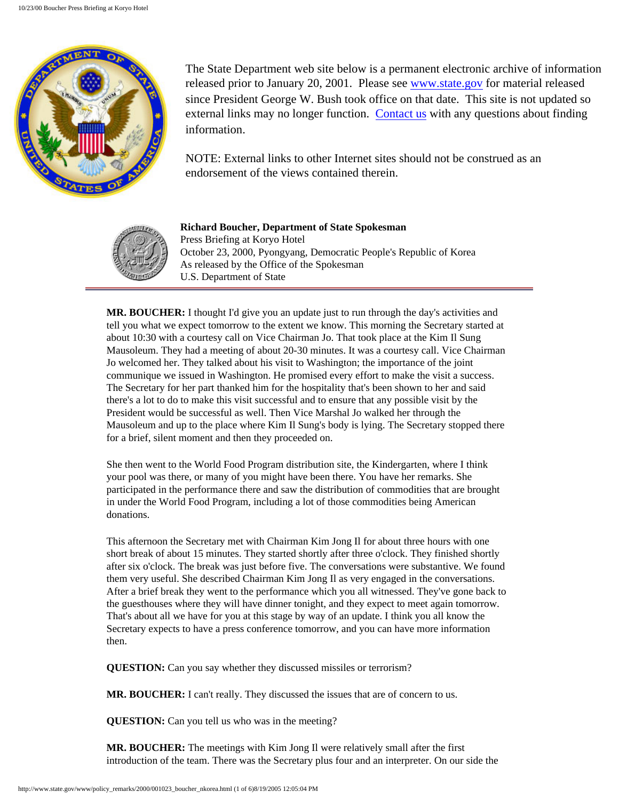

The State Department web site below is a permanent electronic archive of information released prior to January 20, 2001. Please see [www.state.gov](http://www.state.gov/) for material released since President George W. Bush took office on that date. This site is not updated so external links may no longer function. [Contact us](http://state.gov/documents/ContactUs.cfm) with any questions about finding information.

NOTE: External links to other Internet sites should not be construed as an endorsement of the views contained therein.



**Richard Boucher, Department of State Spokesman** Press Briefing at Koryo Hotel October 23, 2000, Pyongyang, Democratic People's Republic of Korea As released by the Office of the Spokesman U.S. Department of State

**MR. BOUCHER:** I thought I'd give you an update just to run through the day's activities and tell you what we expect tomorrow to the extent we know. This morning the Secretary started at about 10:30 with a courtesy call on Vice Chairman Jo. That took place at the Kim Il Sung Mausoleum. They had a meeting of about 20-30 minutes. It was a courtesy call. Vice Chairman Jo welcomed her. They talked about his visit to Washington; the importance of the joint communique we issued in Washington. He promised every effort to make the visit a success. The Secretary for her part thanked him for the hospitality that's been shown to her and said there's a lot to do to make this visit successful and to ensure that any possible visit by the President would be successful as well. Then Vice Marshal Jo walked her through the Mausoleum and up to the place where Kim Il Sung's body is lying. The Secretary stopped there for a brief, silent moment and then they proceeded on.

She then went to the World Food Program distribution site, the Kindergarten, where I think your pool was there, or many of you might have been there. You have her remarks. She participated in the performance there and saw the distribution of commodities that are brought in under the World Food Program, including a lot of those commodities being American donations.

This afternoon the Secretary met with Chairman Kim Jong Il for about three hours with one short break of about 15 minutes. They started shortly after three o'clock. They finished shortly after six o'clock. The break was just before five. The conversations were substantive. We found them very useful. She described Chairman Kim Jong Il as very engaged in the conversations. After a brief break they went to the performance which you all witnessed. They've gone back to the guesthouses where they will have dinner tonight, and they expect to meet again tomorrow. That's about all we have for you at this stage by way of an update. I think you all know the Secretary expects to have a press conference tomorrow, and you can have more information then.

**QUESTION:** Can you say whether they discussed missiles or terrorism?

**MR. BOUCHER:** I can't really. They discussed the issues that are of concern to us.

**QUESTION:** Can you tell us who was in the meeting?

**MR. BOUCHER:** The meetings with Kim Jong Il were relatively small after the first introduction of the team. There was the Secretary plus four and an interpreter. On our side the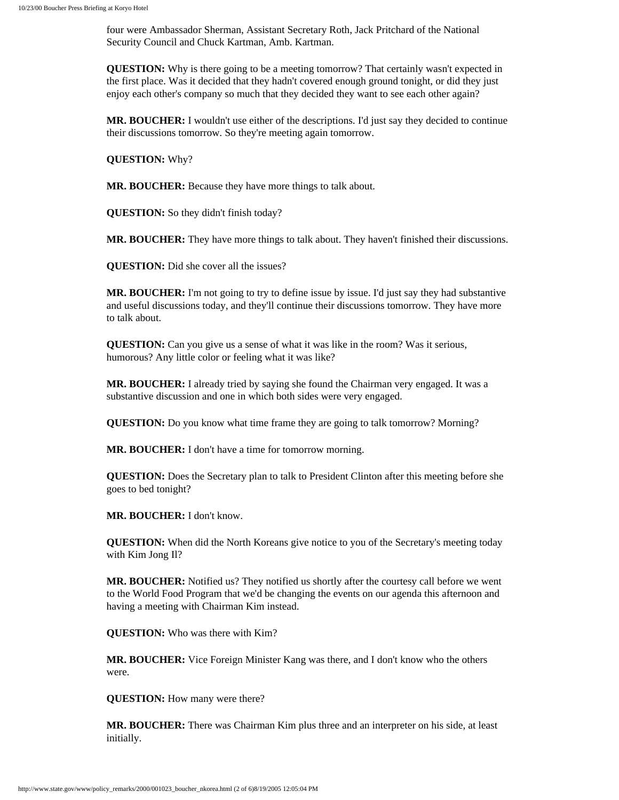four were Ambassador Sherman, Assistant Secretary Roth, Jack Pritchard of the National Security Council and Chuck Kartman, Amb. Kartman.

**QUESTION:** Why is there going to be a meeting tomorrow? That certainly wasn't expected in the first place. Was it decided that they hadn't covered enough ground tonight, or did they just enjoy each other's company so much that they decided they want to see each other again?

**MR. BOUCHER:** I wouldn't use either of the descriptions. I'd just say they decided to continue their discussions tomorrow. So they're meeting again tomorrow.

**QUESTION:** Why?

**MR. BOUCHER:** Because they have more things to talk about.

**QUESTION:** So they didn't finish today?

**MR. BOUCHER:** They have more things to talk about. They haven't finished their discussions.

**QUESTION:** Did she cover all the issues?

**MR. BOUCHER:** I'm not going to try to define issue by issue. I'd just say they had substantive and useful discussions today, and they'll continue their discussions tomorrow. They have more to talk about.

**QUESTION:** Can you give us a sense of what it was like in the room? Was it serious, humorous? Any little color or feeling what it was like?

**MR. BOUCHER:** I already tried by saying she found the Chairman very engaged. It was a substantive discussion and one in which both sides were very engaged.

**QUESTION:** Do you know what time frame they are going to talk tomorrow? Morning?

**MR. BOUCHER:** I don't have a time for tomorrow morning.

**QUESTION:** Does the Secretary plan to talk to President Clinton after this meeting before she goes to bed tonight?

**MR. BOUCHER:** I don't know.

**QUESTION:** When did the North Koreans give notice to you of the Secretary's meeting today with Kim Jong Il?

**MR. BOUCHER:** Notified us? They notified us shortly after the courtesy call before we went to the World Food Program that we'd be changing the events on our agenda this afternoon and having a meeting with Chairman Kim instead.

**QUESTION:** Who was there with Kim?

**MR. BOUCHER:** Vice Foreign Minister Kang was there, and I don't know who the others were.

**QUESTION:** How many were there?

**MR. BOUCHER:** There was Chairman Kim plus three and an interpreter on his side, at least initially.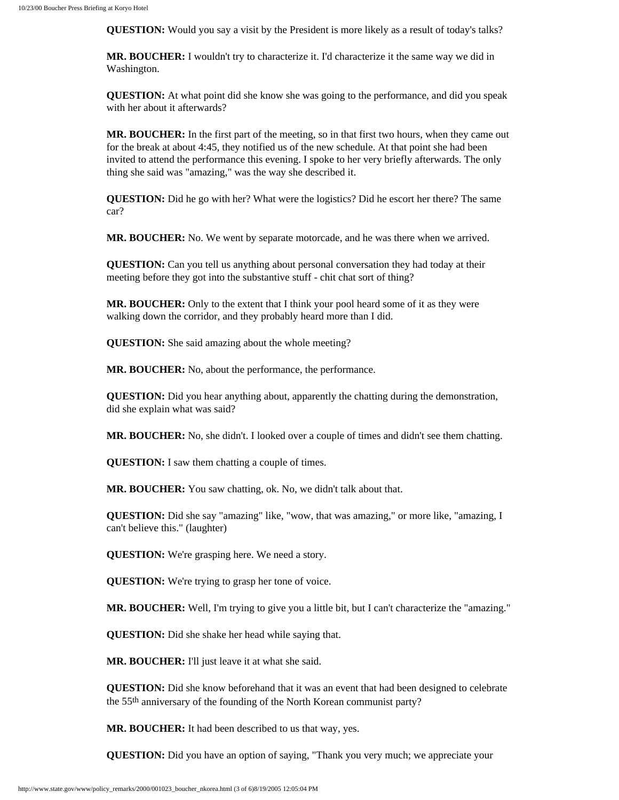**QUESTION:** Would you say a visit by the President is more likely as a result of today's talks?

**MR. BOUCHER:** I wouldn't try to characterize it. I'd characterize it the same way we did in Washington.

**QUESTION:** At what point did she know she was going to the performance, and did you speak with her about it afterwards?

**MR. BOUCHER:** In the first part of the meeting, so in that first two hours, when they came out for the break at about 4:45, they notified us of the new schedule. At that point she had been invited to attend the performance this evening. I spoke to her very briefly afterwards. The only thing she said was "amazing," was the way she described it.

**QUESTION:** Did he go with her? What were the logistics? Did he escort her there? The same car?

**MR. BOUCHER:** No. We went by separate motorcade, and he was there when we arrived.

**QUESTION:** Can you tell us anything about personal conversation they had today at their meeting before they got into the substantive stuff - chit chat sort of thing?

**MR. BOUCHER:** Only to the extent that I think your pool heard some of it as they were walking down the corridor, and they probably heard more than I did.

**QUESTION:** She said amazing about the whole meeting?

**MR. BOUCHER:** No, about the performance, the performance.

**QUESTION:** Did you hear anything about, apparently the chatting during the demonstration, did she explain what was said?

**MR. BOUCHER:** No, she didn't. I looked over a couple of times and didn't see them chatting.

**QUESTION:** I saw them chatting a couple of times.

**MR. BOUCHER:** You saw chatting, ok. No, we didn't talk about that.

**QUESTION:** Did she say "amazing" like, "wow, that was amazing," or more like, "amazing, I can't believe this." (laughter)

**QUESTION:** We're grasping here. We need a story.

**QUESTION:** We're trying to grasp her tone of voice.

**MR. BOUCHER:** Well, I'm trying to give you a little bit, but I can't characterize the "amazing."

**QUESTION:** Did she shake her head while saying that.

**MR. BOUCHER:** I'll just leave it at what she said.

**QUESTION:** Did she know beforehand that it was an event that had been designed to celebrate the 55th anniversary of the founding of the North Korean communist party?

**MR. BOUCHER:** It had been described to us that way, yes.

**QUESTION:** Did you have an option of saying, "Thank you very much; we appreciate your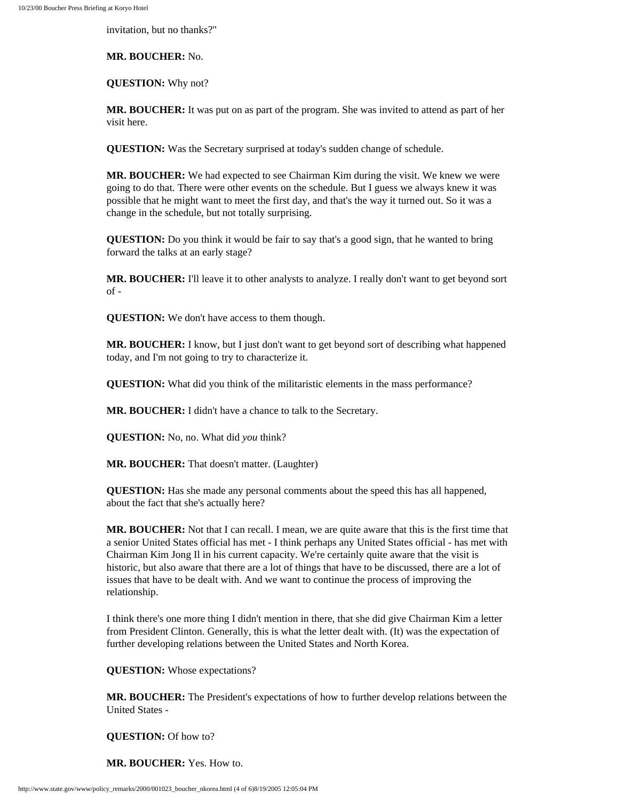invitation, but no thanks?"

**MR. BOUCHER:** No.

**QUESTION:** Why not?

**MR. BOUCHER:** It was put on as part of the program. She was invited to attend as part of her visit here.

**QUESTION:** Was the Secretary surprised at today's sudden change of schedule.

**MR. BOUCHER:** We had expected to see Chairman Kim during the visit. We knew we were going to do that. There were other events on the schedule. But I guess we always knew it was possible that he might want to meet the first day, and that's the way it turned out. So it was a change in the schedule, but not totally surprising.

**QUESTION:** Do you think it would be fair to say that's a good sign, that he wanted to bring forward the talks at an early stage?

**MR. BOUCHER:** I'll leave it to other analysts to analyze. I really don't want to get beyond sort  $of -$ 

**QUESTION:** We don't have access to them though.

**MR. BOUCHER:** I know, but I just don't want to get beyond sort of describing what happened today, and I'm not going to try to characterize it.

**QUESTION:** What did you think of the militaristic elements in the mass performance?

**MR. BOUCHER:** I didn't have a chance to talk to the Secretary.

**QUESTION:** No, no. What did *you* think?

**MR. BOUCHER:** That doesn't matter. (Laughter)

**QUESTION:** Has she made any personal comments about the speed this has all happened, about the fact that she's actually here?

**MR. BOUCHER:** Not that I can recall. I mean, we are quite aware that this is the first time that a senior United States official has met - I think perhaps any United States official - has met with Chairman Kim Jong Il in his current capacity. We're certainly quite aware that the visit is historic, but also aware that there are a lot of things that have to be discussed, there are a lot of issues that have to be dealt with. And we want to continue the process of improving the relationship.

I think there's one more thing I didn't mention in there, that she did give Chairman Kim a letter from President Clinton. Generally, this is what the letter dealt with. (It) was the expectation of further developing relations between the United States and North Korea.

**QUESTION:** Whose expectations?

**MR. BOUCHER:** The President's expectations of how to further develop relations between the United States -

**QUESTION:** Of how to?

**MR. BOUCHER:** Yes. How to.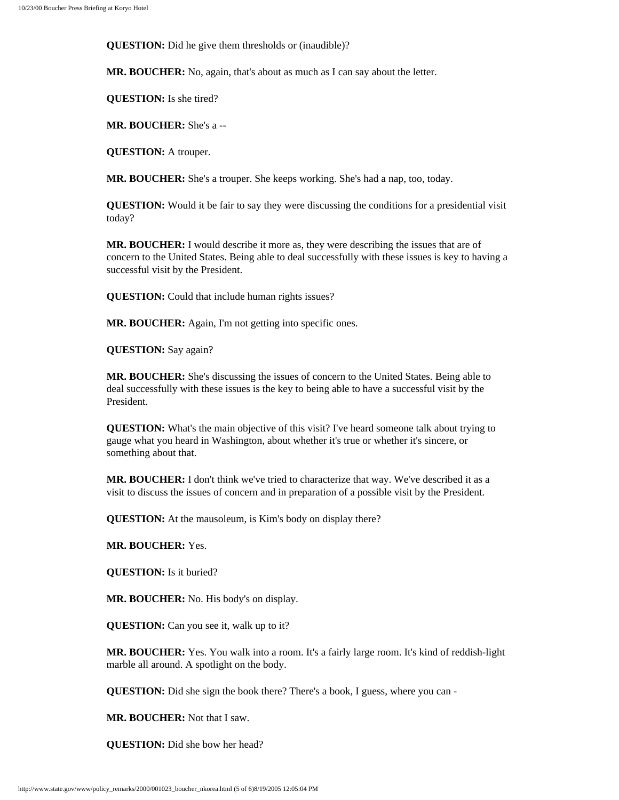**QUESTION:** Did he give them thresholds or (inaudible)?

**MR. BOUCHER:** No, again, that's about as much as I can say about the letter.

**QUESTION:** Is she tired?

**MR. BOUCHER:** She's a --

**QUESTION:** A trouper.

**MR. BOUCHER:** She's a trouper. She keeps working. She's had a nap, too, today.

**QUESTION:** Would it be fair to say they were discussing the conditions for a presidential visit today?

**MR. BOUCHER:** I would describe it more as, they were describing the issues that are of concern to the United States. Being able to deal successfully with these issues is key to having a successful visit by the President.

**QUESTION:** Could that include human rights issues?

**MR. BOUCHER:** Again, I'm not getting into specific ones.

**QUESTION:** Say again?

**MR. BOUCHER:** She's discussing the issues of concern to the United States. Being able to deal successfully with these issues is the key to being able to have a successful visit by the President.

**QUESTION:** What's the main objective of this visit? I've heard someone talk about trying to gauge what you heard in Washington, about whether it's true or whether it's sincere, or something about that.

**MR. BOUCHER:** I don't think we've tried to characterize that way. We've described it as a visit to discuss the issues of concern and in preparation of a possible visit by the President.

**QUESTION:** At the mausoleum, is Kim's body on display there?

**MR. BOUCHER:** Yes.

**QUESTION:** Is it buried?

**MR. BOUCHER:** No. His body's on display.

**QUESTION:** Can you see it, walk up to it?

**MR. BOUCHER:** Yes. You walk into a room. It's a fairly large room. It's kind of reddish-light marble all around. A spotlight on the body.

**QUESTION:** Did she sign the book there? There's a book, I guess, where you can -

**MR. BOUCHER:** Not that I saw.

**QUESTION:** Did she bow her head?